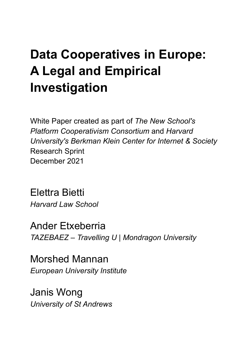# **Data Cooperatives in Europe: A Legal and Empirical Investigation**

White Paper created as part of *The New School's Platform Cooperativism Consortium* and *Harvard University's Berkman Klein Center for Internet & Society* Research Sprint December 2021

Elettra Bietti *Harvard Law School*

Ander Etxeberria *TAZEBAEZ – Travelling U | Mondragon University*

Morshed Mannan *European University Institute*

Janis Wong *University of St Andrews*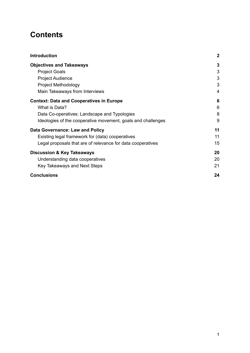# **Contents**

| <b>Introduction</b>                                          | $\mathbf{2}$ |
|--------------------------------------------------------------|--------------|
| <b>Objectives and Takeaways</b>                              | 3            |
| <b>Project Goals</b>                                         | 3            |
| <b>Project Audience</b>                                      | 3            |
| Project Methodology                                          | 3            |
| Main Takeaways from Interviews                               | 4            |
| <b>Context: Data and Cooperatives in Europe</b>              | 6            |
| What is Data?                                                | 6            |
| Data Co-operatives: Landscape and Typologies                 | 8            |
| Ideologies of the cooperative movement, goals and challenges | 9            |
| Data Governance: Law and Policy                              | 11           |
| Existing legal framework for (data) cooperatives             | 11           |
| Legal proposals that are of relevance for data cooperatives  | 15           |
| <b>Discussion &amp; Key Takeaways</b>                        | 20           |
| Understanding data cooperatives                              | 20           |
| Key Takeaways and Next Steps                                 | 21           |
| <b>Conclusions</b>                                           | 24           |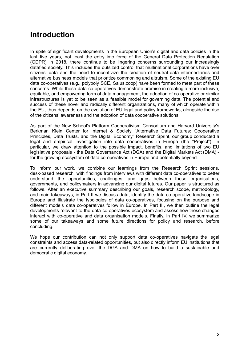# <span id="page-2-0"></span>**Introduction**

In spite of significant developments in the European Union's digital and data policies in the last five years, not least the entry into force of the General Data Protection Regulation (GDPR) in 2018, there continue to be lingering concerns surrounding our increasingly datafied society. This includes the outsized control that multinational corporations have over citizens' data and the need to incentivize the creation of neutral data intermediaries and alternative business models that prioritize commoning and altruism. Some of the existing EU data co-operatives (e.g., polypoly SCE, Salus.coop) have been formed to meet part of these concerns. While these data co-operatives demonstrate promise in creating a more inclusive, equitable, and empowering form of data management, the adoption of co-operative or similar infrastructures is yet to be seen as a feasible model for governing data. The potential and success of these novel and radically different organizations, many of which operate within the EU, thus depends on the evolution of EU legal and policy frameworks, alongside the rise of the citizens' awareness and the adoption of data cooperative solutions.

As part of the New School's Platform Cooperativism Consortium and Harvard University's Berkman Klein Center for Internet & Society "Alternative Data Futures: Cooperative Principles, Data Trusts, and the Digital Economy" Research Sprint, our group conducted a legal and empirical investigation into data cooperatives in Europe (the "Project"). In particular, we draw attention to the possible impact, benefits, and limitations of two EU legislative proposals - the Data Governance Act (DGA) and the Digital Markets Act (DMA) for the growing ecosystem of data co-operatives in Europe and potentially beyond.

To inform our work, we combine our learnings from the Research Sprint sessions, desk-based research, with findings from interviews with different data co-operatives to better understand the opportunities, challenges, and gaps between these organisations, governments, and policymakers in advancing our digital futures. Our paper is structured as follows. After an executive summary describing our goals, research scope, methodology, and main takeaways, in Part II we discuss data, identify the data co-operative landscape in Europe and illustrate the typologies of data co-operatives, focusing on the purpose and different models data co-operatives follow in Europe. In Part III, we then outline the legal developments relevant to the data co-operatives ecosystem and assess how these changes interact with co-operative and data organisation models. Finally, in Part IV, we summarize some of our takeaways and some future directions for policy and research, before concluding.

We hope our contribution can not only support data co-operatives navigate the legal constraints and access data-related opportunities, but also directly inform EU institutions that are currently deliberating over the DGA and DMA on how to build a sustainable and democratic digital economy.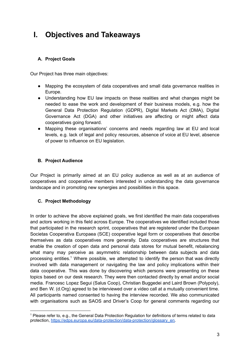# <span id="page-3-0"></span>**I. Objectives and Takeaways**

## <span id="page-3-1"></span>**A. Project Goals**

Our Project has three main objectives:

- Mapping the ecosystem of data cooperatives and small data governance realities in Europe.
- Understanding how EU law impacts on these realities and what changes might be needed to ease the work and development of their business models, e.g. how the General Data Protection Regulation (GDPR), Digital Markets Act (DMA), Digital Governance Act (DGA) and other initiatives are affecting or might affect data cooperatives going forward.
- Mapping these organisations' concerns and needs regarding law at EU and local levels, e.g. lack of legal and policy resources, absence of voice at EU level, absence of power to influence on EU legislation.

### <span id="page-3-2"></span>**B. Project Audience**

Our Project is primarily aimed at an EU policy audience as well as at an audience of cooperatives and cooperative members interested in understanding the data governance landscape and in promoting new synergies and possibilities in this space.

### <span id="page-3-3"></span>**C. Project Methodology**

In order to achieve the above explained goals, we first identified the main data cooperatives and actors working in this field across Europe. The cooperatives we identified included those that participated in the research sprint, cooperatives that are registered under the European Societas Cooperativa Europaea (SCE) cooperative legal form or cooperatives that describe themselves as data cooperatives more generally. Data cooperatives are structures that enable the creation of open data and personal data stores for mutual benefit, rebalancing what many may perceive as asymmetric relationship between data subjects and data processing entities.<sup>1</sup> Where possible, we attempted to identify the person that was directly involved with data management or navigating the law and policy implications within their data cooperative. This was done by discovering which persons were presenting on these topics based on our desk research. They were then contacted directly by email and/or social media. Francesc Lopez Segui (Salus Coop), Christian Buggedei and Laird Brown (Polypoly), and Ben W. (d.Org) agreed to be interviewed over a video call at a mutually convenient time. All participants named consented to having the interview recorded. We also communicated with organisations such as SAOS and Driver's Coop for general comments regarding our

<sup>1</sup> Please refer to, e.g., the General Data Protection Regulation for definitions of terms related to data protection, [https://edps.europa.eu/data-protection/data-protection/glossary\\_en.](https://edps.europa.eu/data-protection/data-protection/glossary_en)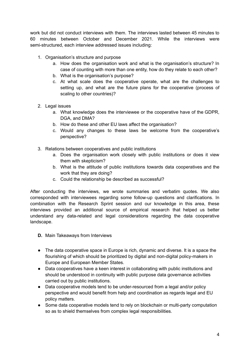work but did not conduct interviews with them. The interviews lasted between 45 minutes to 60 minutes between October and December 2021. While the interviews were semi-structured, each interview addressed issues including:

- 1. Organisation's structure and purpose
	- a. How does the organisation work and what is the organisation's structure? In case of counting with more than one entity, how do they relate to each other?
	- b. What is the organisation's purpose?
	- c. At what scale does the cooperative operate, what are the challenges to setting up, and what are the future plans for the cooperative (process of scaling to other countries)?
- 2. Legal issues
	- a. What knowledge does the interviewee or the cooperative have of the GDPR, DGA, and DMA?
	- b. How do these and other EU laws affect the organisation?
	- c. Would any changes to these laws be welcome from the cooperative's perspective?
- 3. Relations between cooperatives and public institutions
	- a. Does the organisation work closely with public institutions or does it view them with skepticism?
	- b. What is the attitude of public institutions towards data cooperatives and the work that they are doing?
	- c. Could the relationship be described as successful?

After conducting the interviews, we wrote summaries and verbatim quotes. We also corresponded with interviewees regarding some follow-up questions and clarifications. In combination with the Research Sprint session and our knowledge in this area, these interviews provided an additional source of empirical research that helped us better understand any data-related and legal considerations regarding the data cooperative landscape.

- <span id="page-4-0"></span>**D.** Main Takeaways from Interviews
- The data cooperative space in Europe is rich, dynamic and diverse. It is a space the flourishing of which should be prioritized by digital and non-digital policy-makers in Europe and European Member States.
- Data cooperatives have a keen interest in collaborating with public institutions and should be understood in continuity with public purpose data governance activities carried out by public institutions.
- Data cooperative models tend to be under-resourced from a legal and/or policy perspective and would benefit from help and coordination as regards legal and EU policy matters.
- Some data cooperative models tend to rely on blockchain or multi-party computation so as to shield themselves from complex legal responsibilities.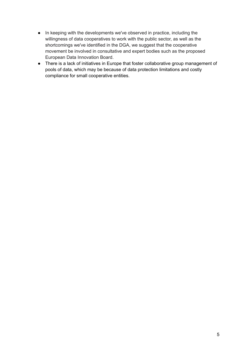- In keeping with the developments we've observed in practice, including the willingness of data cooperatives to work with the public sector, as well as the shortcomings we've identified in the DGA, we suggest that the cooperative movement be involved in consultative and expert bodies such as the proposed European Data Innovation Board.
- There is a lack of initiatives in Europe that foster collaborative group management of pools of data, which may be because of data protection limitations and costly compliance for small cooperative entities.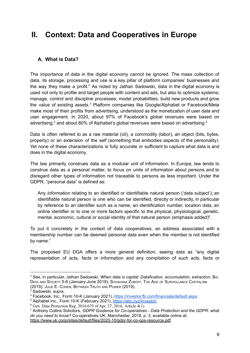# <span id="page-6-0"></span>**II. Context: Data and Cooperatives in Europe**

# <span id="page-6-1"></span>**A. What is Data?**

The importance of data in the digital economy cannot be ignored. The mass collection of data, its storage, processing and use is a key pillar of platform companies' businesses and the way they make a profit.<sup>2</sup> As noted by Jathan Sadowski, data in the digital economy is used not only to profile and target people with content and ads, but also to optimize systems; manage, control and discipline processes; model probabilities; build new products and grow the value of existing assets.<sup>3</sup> Platform companies like Google/Alphabet or Facebook/Meta make most of their profits from advertising, understood as the monetization of user data and user engagement. In 2020, about 97% of Facebook's global revenues were based on advertising, <sup>4</sup> and about 80% of Alphabet's global revenues were based on advertising. 5

Data is often referred to as a raw material (oil), a commodity (labor), an object (bits, bytes, property) or an extension of the self (something that embodies aspects of the personality). Yet none of these characterizations is fully accurate or sufficient to capture what data is and does in the digital economy.

The law primarily construes data as a modular unit of information. In Europe, law tends to construe data as a personal matter, to focus on units of information about persons and to disregard other types of information not traceable to persons as less important. Under the GDPR, "personal data" is defined as:

Any *information* relating to an identified or identifiable natural person ('data subject'); an identifiable natural person is one who can be identified, directly or indirectly, in particular by reference to an identifier such as a name, an identification number, location data, an online identifier or to one or more factors specific to the physical, physiological, genetic, mental, economic, cultural or social identity of that natural person (emphasis added)<sup>6</sup>.

To put it concretely in the context of data cooperatives, an address associated with a membership number can be deemed personal data even when the member is not identified by name.<sup>7</sup>

The proposed EU DGA offers a more general definition, seeing data as "any digital representation of acts, facts or information and any compilation of such acts, facts or

<sup>2</sup> See, in particular, Jathan Sadowski, *When data is capital: Datafication, accumulation, extraction*, BIG DATA AND SOCIETY 5-6 (January-June 2019); SHOSHANA ZUBOFF, THE AGE OF SURVEILLANCE CAPITALISM (2019); JULIE E. COHEN, BETWEEN TRUTH AND POWER (2019).

<sup>&</sup>lt;sup>3</sup> Sadowski, supra.

<sup>4</sup> Facebook, Inc., Form 10-K (January 2021), <https://investor.fb.com/financials/default.aspx>.

<sup>&</sup>lt;sup>5</sup> Alphabet Inc., Form 10-K (February 2021), [https://abc.xyz/investor/.](https://abc.xyz/investor/)

 $6$  Gen. Data Protection Reg. 2016/679 of Apr. 27, 2016, Article 4(1).

<sup>7</sup> Anthony Collins Solicitors, *GDPR Guidance for Co-operatives - Data Protection and the GDPR: what do you need to know?* Co-operatives UK, Manchester, 2018, p. 3, available online at: <https://www.uk.coop/sites/default/files/2020-10/gdpr-for-co-ops-resource.pdf>.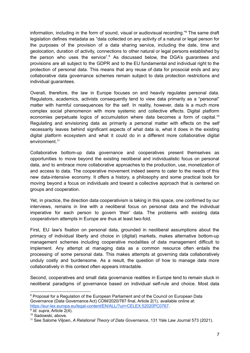information, including in the form of sound, visual or audiovisual recording." <sup>8</sup> The same draft legislation defines metadata as "data collected on any activity of a natural or legal person for the purposes of the provision of a data sharing service, including the date, time and geolocation, duration of activity, connections to other natural or legal persons established by the person who uses the service".<sup>9</sup> As discussed below, the DGA's guarantees and provisions are all subject to the GDPR and to the EU fundamental and individual right to the protection of personal data. This means that any reuse of data for prosocial ends and any collaborative data governance schemes remain subject to data protection restrictions and individual guarantees.

Overall, therefore, the law in Europe focuses on and heavily regulates personal data. Regulators, academics, activists consequently tend to view data primarily as a "personal" matter with harmful consequences for the self. In reality, however, data is a much more complex social phenomenon with more systemic and collective effects. Digital platform economies perpetuate logics of accumulation where data becomes a form of capital.<sup>10</sup> Regulating and envisioning data as primarily a personal matter with effects on the self necessarily leaves behind significant aspects of what data is, what it does in the existing digital platform ecosystem and what it could do in a different more collaborative digital environment. 11

Collaborative bottom-up data governance and cooperatives present themselves as opportunities to move beyond the existing neoliberal and individualistic focus on personal data, and to embrace more collaborative approaches to the production, use, monetization of and access to data. The cooperative movement indeed seems to cater to the needs of this new data-intensive economy. It offers a history, a philosophy and some practical tools for moving beyond a focus on individuals and toward a collective approach that is centered on groups and cooperation.

Yet, in practice, the direction data cooperativism is taking in this space, one confirmed by our interviews, remains in line with a neoliberal focus on personal data and the individual imperative for each person to govern 'their' data. The problems with existing data cooperativism attempts in Europe are thus at least two-fold.

First, EU law's fixation on personal data, grounded in neoliberal assumptions about the primacy of individual liberty and choice in (digital) markets, makes alternative bottom-up management schemes including cooperative modalities of data management difficult to implement. Any attempt at managing data as a common resource often entails the processing of some personal data. This makes attempts at governing data collaboratively unduly costly and burdensome. As a result, the question of how to manage data more collaboratively in this context often appears intractable.

Second, cooperatives and small data governance realities in Europe tend to remain stuck in neoliberal paradigms of governance based on individual self-rule and choice. Most data

<sup>&</sup>lt;sup>8</sup> Proposal for a Regulation of the European Parliament and of the Council on European Data Governance (Data Governance Act) COM/2020/767 final, Article 2(1), [available](https://eur-lex.europa.eu/legal-content/EN/ALL/?uri=CELEX:52020PC0767) online at: <https://eur-lex.europa.eu/legal-content/EN/ALL/?uri=CELEX:52020PC0767>.

<sup>9</sup> *Id. supra*, Article 2(4).

<sup>10</sup> Sadowski, above.

<sup>11</sup> See Salome Viljoen, *A Relational Theory of Data Governance*, 131 Yale Law Journal 573 (2021).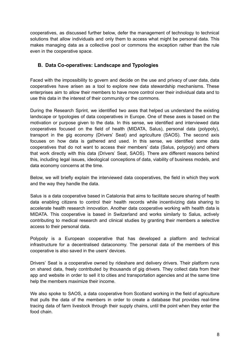cooperatives, as discussed further below, defer the management of technology to technical solutions that allow individuals and only them to access what might be personal data. This makes managing data as a collective pool or commons the exception rather than the rule even in the cooperative space.

## <span id="page-8-0"></span>**B. Data Co-operatives: Landscape and Typologies**

Faced with the impossibility to govern and decide on the use and privacy of user data, data cooperatives have arisen as a tool to explore new data stewardship mechanisms. These enterprises aim to allow their members to have more control over their individual data and to use this data in the interest of their community or the commons.

During the Research Sprint, we identified two axes that helped us understand the existing landscape or typologies of data cooperatives in Europe. One of these axes is based on the motivation or purpose given to the data. In this sense, we identified and interviewed data cooperatives focused on the field of health (MIDATA, Salus), personal data (polypoly), transport in the gig economy (Drivers' Seat) and agriculture (SAOS). The second axis focuses on how data is gathered and used. In this sense, we identified some data cooperatives that do not want to access their members' data (Salus, polypoly) and others that work directly with this data (Drivers' Seat, SAOS). There are different reasons behind this, including legal issues, ideological conceptions of data, viability of business models, and data economy concerns at the time.

Below, we will briefly explain the interviewed data cooperatives, the field in which they work and the way they handle the data.

Salus is a data cooperative based in Catalonia that aims to facilitate secure sharing of health data enabling citizens to control their health records while incentivizing data sharing to accelerate health research innovation. Another data cooperative working with health data is MIDATA. This cooperative is based in Switzerland and works similarly to Salus, actively contributing to medical research and clinical studies by granting their members a selective access to their personal data.

Polypoly is a European cooperative that has developed a platform and technical infrastructure for a decentralised dataconomy. The personal data of the members of this cooperative is also saved in the users' devices.

Drivers' Seat is a cooperative owned by rideshare and delivery drivers. Their platform runs on shared data, freely contributed by thousands of gig drivers. They collect data from their app and website in order to sell it to cities and transportation agencies and at the same time help the members maximize their income.

We also spoke to SAOS, a data cooperative from Scotland working in the field of agriculture that pulls the data of the members in order to create a database that provides real-time tracing data of farm livestock through their supply chains, until the point when they enter the food chain.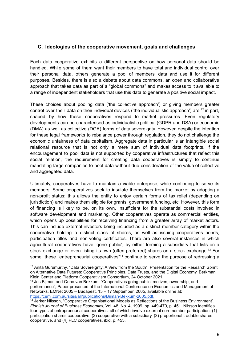### <span id="page-9-0"></span>**C. Ideologies of the cooperative movement, goals and challenges**

Each data cooperative exhibits a different perspective on how personal data should be handled. While some of them want their members to have total and individual control over their personal data, others generate a pool of members' data and use it for different purposes. Besides, there is also a debate about data commons, an open and collaborative approach that takes data as part of a "global commons" and makes access to it available to a range of independent stakeholders that use this data to generate a positive social impact.

These choices about pooling data ('the collective approach') or giving members greater control over their data on their individual devices ('the individualistic approach') are,<sup>12</sup> in part, shaped by how these cooperatives respond to market pressures. Even regulatory developments can be characterised as individualistic political (GDPR and DSA) or economic (DMA) as well as collective (DGA) forms of data sovereignty. However, despite the intention for these legal frameworks to rebalance power through regulation, they do not challenge the economic unfairness of data capitalism. Aggregate data in particular is an intangible social relational resource that is not only a mere sum of individual data footprints. If the encouragement to pool data is not supported by cooperative infrastructures that reflect this social relation, the requirement for creating data cooperatives is simply to continue mandating large companies to pool data without due consideration of the value of collective and aggregated data.

Ultimately, cooperatives have to maintain a viable enterprise, while continuing to serve its members. Some cooperatives seek to insulate themselves from the market by adopting a non-profit status: this allows the entity to enjoy certain forms of tax relief (depending on jurisdiction) and makes them eligible for grants, government funding, etc. However, this form of financing is likely to be, on its own, insufficient for the substantial costs involved in software development and marketing. Other cooperatives operate as commercial entities, which opens up possibilities for receiving financing from a greater array of market actors. This can include external investors being included as a distinct member category within the cooperative holding a distinct class of shares, as well as issuing cooperatives bonds, participation titles and non-voting certificates. There are also several instances in which agricultural cooperatives have 'gone public', by either forming a subsidiary that lists on a stock exchange or even listing its own (often preferred) shares on a stock exchange.<sup>13</sup> For some, these "entrepreneurial cooperatives"<sup>14</sup> continue to serve the purpose of redressing a

<sup>&</sup>lt;sup>12</sup> Anita Gurumurthy, "Data Sovereignty: A View from the South", Presentation for the Research Sprint on Alternative Data Futures: Cooperative Principles, Data Trusts, and the Digital Economy, Berkman Klein Center and Platform Cooperativism Consortium, 24 October 2021.

<sup>&</sup>lt;sup>13</sup> Jos Bijman and Onno van Bekkum, "Cooperatives going public: motives, ownership, and performance", Paper presented at the International Conference on Economics and Management of Networks, EMNet 2005 – Budapest, 15 – 17 September, 2005, available online at: [https://cemi.com.au/sites/all/publications/Bijman-Bekkum-2005.pdf.](https://cemi.com.au/sites/all/publications/Bijman-Bekkum-2005.pdf)

 $14$  Jerker Nilsson, "Cooperative Organisational Models as Reflections of the Business Environment", *Finnish Journal of Business Economics*, Vol. 48, No. 4, 1999, pp. 449-470, p. 451. Nilsson identifies four types of entrepreneurial cooperatives, all of which involve external non-member participation: (1) participation shares cooperative, (2) cooperative with a subsidiary, (3) proportional tradable shares cooperative, and (4) PLC cooperatives. ibid, p. 453.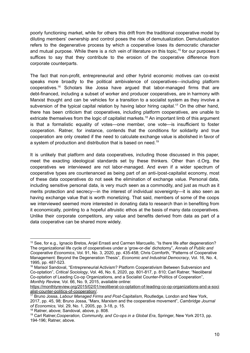poorly functioning market, while for others this drift from the traditional cooperative model by diluting members' ownership and control poses the risk of demutualization. Demutualization refers to the degenerative process by which a cooperative loses its democratic character and mutual purpose. While there is a rich vein of literature on this topic,<sup>15</sup> for our purposes it suffices to say that they contribute to the erosion of the cooperative difference from corporate counterparts.

The fact that non-profit, entrepreneurial and other hybrid economic motives can co-exist speaks more broadly to the political ambivalence of cooperatives—including platform cooperatives. <sup>16</sup> Scholars like Jossa have argued that labor-managed firms that are debt-financed, including a subset of worker and producer cooperatives, are in harmony with Marxist thought and can be vehicles for a transition to a socialist system as they involve a subversion of the typical capital relation by having labor hiring capital.<sup>17</sup> On the other hand, there has been criticism that cooperatives, including platform cooperatives, are unable to extricate themselves from the logic of capitalist markets.<sup>18</sup> An important limb of this argument is that a formalistic equality of votes—one member, one vote—is insufficient to foster cooperation. Ratner, for instance, contends that the conditions for solidarity and true cooperation are only created if the need to calculate exchange value is abolished in favor of a system of production and distribution that is based on need.<sup>19</sup>

It is unlikely that platform and data cooperatives, including those discussed in this paper, meet the exacting ideological standards set by these thinkers. Other than d.Org, the cooperatives we interviewed are not labor-managed. And even if a wider spectrum of cooperative types are countenanced as being part of an anti-/post-capitalist economy, most of these data cooperatives do not seek the elimination of exchange value. Personal data, including sensitive personal data, is very much seen as a commodity, and just as much as it merits protection and secrecy—in the interest of individual sovereignty—it is also seen as having exchange value that is worth monetizing. That said, members of some of the coops we interviewed seemed more interested in donating data to research than in benefiting from it economically, pointing to a hopeful altruistic ethos at the basis of many data cooperatives. Unlike their corporate competitors, any value and benefits derived from data as part of a data cooperative can be shared more widely.

<sup>&</sup>lt;sup>15</sup> See, for e.g., Ignacio Bretos, Anjel Errasti and Carmen Marcuello, "Is there life after degeneration? The organizational life cycle of cooperatives under a 'grow-or-die' dichotomy", *Annals of Public and Cooperative Economics*, Vol. 91, No. 3, 2020, pp. 435-458; Chris Cornforth, "Patterns of Cooperative Management: Beyond the Degeneration Thesis", *Economic and Industrial Democracy*, Vol. 16, No. 4, 1995, pp. 487-523.

<sup>&</sup>lt;sup>16</sup> Marisol Sandoval, "Entrepreneurial Activism? Platform Cooperativism Between Subversion and Co-optation", *Critical Sociology*, Vol. 46, No. 6, 2020, pp. 801-817, p. 810; Carl Ratner, "Neoliberal Co-optation of Leading Co-op Organizations, and a Socialist Counter-Politics of Cooperation", *Monthly Review,* Vol. 66, No. 9, 2015, available online:

[https://monthlyreview.org/2015/02/01/neoliberal-co-optation-of-leading-co-op-organizations-and-a-soci](https://monthlyreview.org/2015/02/01/neoliberal-co-optation-of-leading-co-op-organizations-and-a-socialist-counter-politics-of-cooperation/) [alist-counter-politics-of-cooperation/](https://monthlyreview.org/2015/02/01/neoliberal-co-optation-of-leading-co-op-organizations-and-a-socialist-counter-politics-of-cooperation/).

<sup>17</sup> Bruno Jossa, *Labour Managed Firms and Post-Capitalism*, Routledge, London and New York, 2017, pp. 45, 98; Bruno Jossa, "Marx, Marxism and the cooperative movement", *Cambridge Journal of Economics,* Vol. 29, No. 1, 2005, pp. 3-18, p. 15.

<sup>18</sup> Ratner, above; Sandoval, above, p. 808.

<sup>19</sup> Carl Ratner,*Cooperation, Community, and Co-ops in a Global Era*, Springer, New York 2013, pp. 194-196; Ratner, above.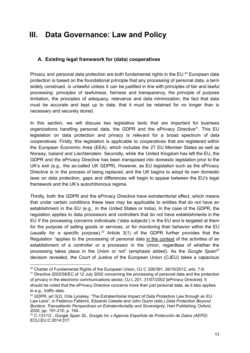# <span id="page-11-0"></span>**III. Data Governance: Law and Policy**

### <span id="page-11-1"></span>**A. Existing legal framework for (data) cooperatives**

Privacy and personal data protection are both fundamental rights in the EU.<sup>20</sup> European data protection is based on the foundational principle that any processing of personal data, a term widely construed, is unlawful unless it can be justified in line with principles of fair and lawful processing: principles of lawfulness, fairness and transparency, the principle of purpose limitation, the principles of adequacy, relevance and data minimization, the fact that data must be accurate and kept up to date, that it must be retained for no longer than is necessary and securely stored.

In this section, we will discuss two legislative texts that are important for business organizations handling personal data, the GDPR and the ePrivacy Directive<sup>21</sup>. This EU legislation on data protection and privacy is relevant for a broad spectrum of data cooperatives. Firstly, this legislation is applicable to cooperatives that are registered within the European Economic Area (EEA), which includes the 27 EU Member States as well as Norway, Iceland and Liechtenstein. Secondly, while the United Kingdom has left the EU, the GDPR and the ePrivacy Directive has been transposed into domestic legislation prior to the UK's exit (e.g., the so-called UK GDPR). However, as EU legislation such as the ePrivacy Directive is in the process of being replaced, and the UK begins to adopt its own domestic laws on data protection, gaps and differences will begin to appear between the EU's legal framework and the UK's autochthonous regime.

Thirdly, both the GDPR and the ePrivacy Directive have extraterritorial effect, which means that under certain conditions these laws may be applicable to entities that do not have an establishment in the EU (e.g., in the United States or India). In the case of the GDPR, the regulation applies to data processors and controllers that do not have establishments in the EU if the processing concerns individuals ('data subjects') in the EU and is targeted at them for the purpose of selling goods or services, or for monitoring their behavior within the EU (usually for a specific purpose).<sup>22</sup> Article  $3(1)$  of the GDPR further provides that the Regulation "applies to the processing of personal data in the context of the activities of an establishment of a controller or a processor in the Union, regardless of whether the processing takes place in the Union or not" (emphasis added). As the *Google Spain* 23 decision revealed, the Court of Justice of the European Union (CJEU) takes a capacious

<sup>&</sup>lt;sup>20</sup> Charter of Fundamental Rights of the European Union, OJ C 326/391, 26/10/2012, arts. 7-8.

 $21$  Directive 2002/58/EC of 12 July 2002 concerning the processing of personal data and the protection of privacy in the electronic communications sector, OJ L 201, 31/07/2002 [ePrivacy Directive]. It should be noted that the ePrivacy Directive concerns more than just personal data, as it also applies to e.g., traffic data.

<sup>&</sup>lt;sup>22</sup> GDPR, art 3(2). Orla Lynskey, "The Extraterritorial Impact of Data Protection Law through an EU Law Lens", in Federico Fabbrini, Edoardo Celeste and John Quinn (eds.) *Data Protection Beyond Borders: Transatlantic Perspectives on Extraterritoriality and Sovereignty*, Hart Publishing, Oxford, 2020, pp. 191-210, p. 194..

<sup>23</sup> C-131/12 , *Google Spain SL, Google Inc v Agencia Española de Protección de Datos (AEPD)* ECLI:EU:C:2014:317.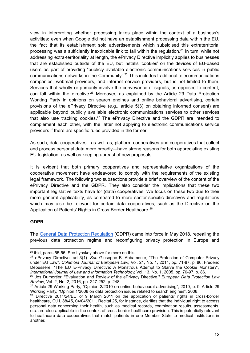view in interpreting whether processing takes place within the context of a business's activities: even when Google did not have an establishment processing data within the EU, the fact that its establishment sold advertisements which subsidised this extraterritorial processing was a sufficiently inextricable link to fall within the regulation.<sup>24</sup> In turn, while not addressing extra-territoriality at length, the ePrivacy Directive implicitly applies to businesses that are established outside of the EU, but installs 'cookies' on the devices of EU-based users as part of providing "publicly available electronic communications services in public communications networks in the Community". <sup>25</sup> This includes traditional telecommunications companies, webmail providers, and internet service providers, but is not limited to them. Services that wholly or primarily involve the conveyance of signals, as opposed to content, can fall within the directive.<sup>26</sup> Moreover, as explained by the Article 29 Data Protection Working Party in opinions on search engines and online behavioral advertising, certain provisions of the ePrivacy Directive (e.g., article 5(3) on obtaining informed consent) are applicable beyond publicly available electronic communications services to other services that also use tracking cookies.<sup>27</sup> The ePrivacy Directive and the GDPR are intended to complement each other, with the latter not applying to electronic communications service providers if there are specific rules provided in the former.

As such, data cooperatives—as well as, platform cooperatives and cooperatives that collect and process personal data more broadly—have strong reasons for both appreciating existing EU legislation, as well as keeping abreast of new proposals.

It is evident that both primary cooperatives and representative organizations of the cooperative movement have endeavored to comply with the requirements of the existing legal framework. The following two subsections provide a brief overview of the content of the ePrivacy Directive and the GDPR. They also consider the implications that these two important legislative texts have for (data) cooperatives. We focus on these two due to their more general applicability, as compared to more sector-specific directives and regulations which may also be relevant for certain data cooperatives, such as the Directive on the Application of Patients' Rights in Cross-Border Healthcare.<sup>28</sup>

#### **GDPR**

The General Data Protection [Regulation](https://gdpr.eu/tag/gdpr/) (GDPR) came into force in May 2018, repealing the previous data protection regime and reconfiguring privacy protection in Europe and

 $24$  ibid, paras 55-56. See Lynskey above for more on this.

<sup>25</sup> ePrivacy Directive, art 3(1). *See* Giuseppe B. Abbamonte, "The Protection of Computer Privacy under EU Law", *Columbia Journal of European Law*, Vol. 21, No. 1, 2014, pp. 71-87, p. 86; Frederic Debusseré, "The EU E-Privacy Directive: A Monstrous Attempt to Starve the Cookie Monster?", *International Journal of Law and Information Technology,* Vol. 13, No. 1, 2005, pp. 70-97, p. 86.

<sup>26</sup> Jos Dumortier, "Evaluation and Review of the ePrivacy Directive," *European Data Protection Law Review*, Vol. 2, No. 2, 2016, pp. 247-252, p. 248.

<sup>&</sup>lt;sup>27</sup> Article 29 Working Party, "Opinion 2/2010 on online behavioural advertising", 2010, p. 9; Article 29 Working Party, "Opinion 1/2008 on data protection issues related to search engines", 2008.

 $28$  Directive 2011/24/EU of 9 March 2011 on the application of patients' rights in cross-border healthcare, OJ L 88/45, 04/04/2011. Recital 25, for instance, clarifies that the individual right to access personal data concerning their health, such as medical records, examination results, assessments, etc. are also applicable in the context of cross-border healthcare provision. This is potentially relevant to healthcare data cooperatives that match patients in one Member State to medical institutions in another.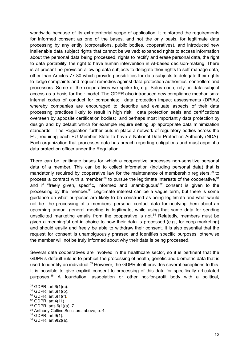worldwide because of its extraterritorial scope of application. It reinforced the requirements for informed consent as one of the bases, and not the only basis, for legitimate data processing by any entity (corporations, public bodies, cooperatives), and introduced new inalienable data subject rights that cannot be waived: expanded rights to access information about the personal data being processed, rights to rectify and erase personal data, the right to data portability, the right to have human intervention in AI-based decision-making. There is at present no provision allowing data subjects to delegate their rights to self-manage data, other than Articles 77-80 which provide possibilities for data subjects to delegate their rights to lodge complaints and request remedies against data protection authorities, controllers and processors. Some of the cooperatives we spoke to, e.g. Salus coop, rely on data subject access as a basis for their model. The GDPR also introduced new compliance mechanisms: internal codes of conduct for companies; data protection impact assessments (DPIAs) whereby companies are encouraged to describe and evaluate aspects of their data processing practices likely to result in high risk; data protection seals and certifications overseen by apposite certification bodies; and perhaps most importantly data protection by design and by default which for example require setting up appropriate data minimization standards. The Regulation further puts in place a network of regulatory bodies across the EU, requiring each EU Member State to have a National Data Protection Authority (NDA). Each organization that processes data has breach reporting obligations and must appoint a data protection officer under the Regulation.

There can be legitimate bases for which a cooperative processes non-sensitive personal data of a member. This can be to collect information (including personal data) that is mandatorily required by cooperative law for the maintenance of membership registers,<sup>29</sup> to process a contract with a member,<sup>30</sup> to pursue the legitimate interests of the cooperative,<sup>31</sup> and if "freely given, specific, informed and unambiguous"<sup>32</sup> consent is given to the processing by the member.<sup>33</sup> Legitimate interest can be a vague term, but there is some guidance on what purposes are likely to be construed as being legitimate and what would not be: the processing of a members' personal contact data for notifying them about an upcoming annual general meeting is legitimate, while using that same data for sending unsolicited marketing emails from the cooperative is not.<sup>34</sup> Relatedly, members must be given a meaningful opt-in choice to how their data is processed (e.g., for coop marketing) and should easily and freely be able to withdraw their consent. It is also essential that the request for consent is unambiguously phrased and identifies specific purposes, otherwise the member will not be truly informed about why their data is being processed.

Several data cooperatives are involved in the healthcare sector, so it is pertinent that the GDPR's default rule is to prohibit the processing of health, genetic and biometric data that is used to identify an individual.<sup>35</sup> However, the GDPR itself provides several exceptions to this. It is possible to give explicit consent to processing of this data for specifically articulated purposes. <sup>36</sup> A foundation, association or other not-for-profit body with a political,

<sup>29</sup> GDPR, art 6(1)(c).

<sup>30</sup> GDPR, art 6(1)(b).

 $31$  GDPR, art  $6(1)(f)$ .

 $32$  GDPR, art  $4(11)$ .

 $33$  GDPR, arts  $6(1)(a)$ , 7.

<sup>&</sup>lt;sup>34</sup> Anthony Collins Solicitors, above, p. 4.

<sup>35</sup> GDPR, art 9(1).

<sup>36</sup> GDPR, art 9(2)(a).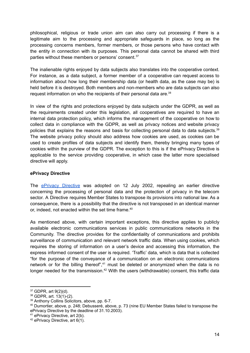philosophical, religious or trade union aim can also carry out processing if there is a legitimate aim to the processing and appropriate safeguards in place, so long as the processing concerns members, former members, or those persons who have contact with the entity in connection with its purposes. This personal data cannot be shared with third parties without these members or persons' consent.<sup>37</sup>

The inalienable rights enjoyed by data subjects also translates into the cooperative context. For instance, as a data subject, a former member of a cooperative can request access to information about how long their membership data (or health data, as the case may be) is held before it is destroyed. Both members and non-members who are data subjects can also request information on who the recipients of their personal data are. 38

In view of the rights and protections enjoyed by data subjects under the GDPR, as well as the requirements created under this legislation, all cooperatives are required to have an internal data protection policy, which informs the management of the cooperative on how to collect data in compliance with the GDPR, as well as privacy notices and website privacy policies that explains the reasons and basis for collecting personal data to data subjects.<sup>39</sup> The website privacy policy should also address how cookies are used, as cookies can be used to create profiles of data subjects and identify them, thereby bringing many types of cookies within the purview of the GDPR. The exception to this is if the ePrivacy Directive is applicable to the service providing cooperative, in which case the latter more specialised directive will apply.

#### **ePrivacy Directive**

The **ePrivacy [Directive](https://eur-lex.europa.eu/legal-content/EN/ALL/?uri=CELEX%3A32002L0058)** was adopted on 12 July 2002, repealing an earlier directive concerning the processing of personal data and the protection of privacy in the telecom sector. A Directive requires Member States to transpose its provisions into national law. As a consequence, there is a possibility that the directive is not transposed in an identical manner or, indeed, not enacted within the set time frame. 40

As mentioned above, with certain important exceptions, this directive applies to publicly available electronic communications services in public communications networks in the Community. The directive provides for the confidentiality of communications and prohibits surveillance of communication and relevant network traffic data. When using cookies, which requires the storing of information on a user's device and accessing this information, the express informed consent of the user is required. 'Traffic' data, which is data that is collected "for the purpose of the conveyance of a communication on an electronic communications network or for the billing thereof",<sup>41</sup> must be deleted or anonymized when the data is no longer needed for the transmission.<sup>42</sup> With the users (withdrawable) consent, this traffic data

<sup>37</sup> GDPR, art 9(2)(d).

 $38$  GDPR, art.  $13(1)-(2)$ .

<sup>39</sup> Anthony Collins Solicitors, above, pp. 6-7.

<sup>40</sup> Dumortier, above, p. 248; Debusseré, above, p. 73 (nine EU Member States failed to transpose the ePrivacy Directive by the deadline of 31.10.2003).

<sup>41</sup> ePrivacy Directive, art 2(b).

 $42$  ePrivacy Directive, art 6(1).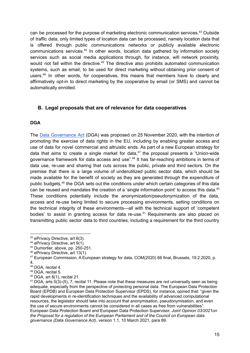can be processed for the purpose of marketing electronic communication services. <sup>43</sup> Outside of traffic data, only limited types of location data can be processed, namely location data that is offered through public communications networks or publicly available electronic communications services.<sup>44</sup> In other words, location data gathered by information society services such as social media applications through, for instance, wifi network proximity, would not fall within the directive.<sup>45</sup> The directive also prohibits automated communication systems, such as email, to be used for direct marketing without obtaining prior consent of users.<sup>46</sup> In other words, for cooperatives, this means that members have to clearly and affirmatively opt-in to direct marketing by the cooperative by email (or SMS) and cannot be automatically enrolled.

### <span id="page-15-0"></span>**B. Legal proposals that are of relevance for data cooperatives**

#### **DGA**

The Data [Governance](https://eur-lex.europa.eu/legal-content/EN/TXT/?uri=CELEX%3A52020PC0767) Act (DGA) was proposed on 25 November 2020, with the intention of promoting the exercise of data rights in the EU, including by enabling greater access and use of data for novel commercial and altruistic ends. As part of a new European strategy for data that aims to create a single market for data, 47 the proposal presents a "Union-wide governance framework for data access and use".<sup>48</sup> It has far-reaching ambitions in terms of data use, re-use and sharing that cuts across the public, private and third sectors. On the premise that there is a large volume of underutilized public sector data, which should be made available for the benefit of society as they are generated through the expenditure of public budgets,<sup>49</sup> the DGA sets out the conditions under which certain categories of this data can be reused and mandates the creation of a 'single information point' to access this data.<sup>50</sup> These conditions potentially include the anonymization/pseudonymization of the data, access and re-use being limited to secure processing environments, setting conditions on the technical integrity of these environments—all with the technical support of 'competent bodies' to assist in granting access for data re-use.<sup>51</sup> Requirements are also placed on transmitting public sector data to third countries, including a requirement for the third country

<sup>43</sup> ePrivacy Directive, art 6(3).

<sup>44</sup> ePrivacy Directive, art 9(1).

<sup>45</sup> Dumortier, above, pp. 250-251.

<sup>46</sup> ePrivacy Directive, art 13(1).

 $47$  European Commission, A European strategy for data, COM(2020) 66 final, Brussels, 19.2.2020, p. 4.

<sup>48</sup> DGA, recital 4.

<sup>49</sup> DGA, recital 5.

 $50$  DGA, art 8(1), recital 21.

 $51$  DGA, arts  $5(3)$ -(5), 7, recital 11. Please note that these measures are not universally seen as being adequate, especially from the perspective of protecting personal data. The European Data Protection Board (EPDB) and European Data Protection Supervisor (EPDS), for instance, opined that: "given the rapid developments in re-identification techniques and the availability of advanced computational resources, the legislator should take into account that anonymisation, pseudonymisation, and even the use of secure environments cannot be considered in all cases as free from vulnerabilities". European Data Protection Board and European Data Protection Supervisor, *Joint Opinion 03/2021on the Proposal for a regulation of the European Parliament and of the Council on European data governance (Data Governance Act)*, version 1.1, 10 March 2021, para 89.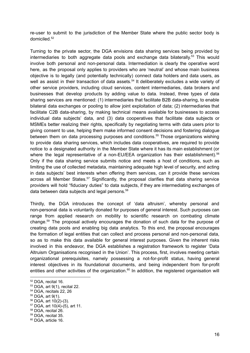re-user to submit to the jurisdiction of the Member State where the public sector body is domiciled. 52

Turning to the private sector, the DGA envisions data sharing services being provided by intermediaries to both aggregate data pools and exchange data bilaterally.<sup>53</sup> This would involve both personal and non-personal data. Intermediation is clearly the operative word here, as the proposal only applies to providers who are 'neutral' and whose main business objective is to legally (and potentially technically) connect data holders and data users, as well as assist in their transaction of data assets.<sup>54</sup> It deliberately excludes a wide variety of other service providers, including cloud services, content intermediaries, data brokers and businesses that develop products by adding value to data. Instead, three types of data sharing services are mentioned: (1) intermediaries that facilitate B2B data-sharing, to enable bilateral data exchanges or pooling to allow joint exploitation of data; (2) intermediaries that facilitate C2B data-sharing, by making technical means available for businesses to access individual data subjects' data, and (3) data cooperatives that facilitate data subjects or MSMEs better realizing their rights, specifically by negotiating terms with data users prior to giving consent to use, helping them make informed consent decisions and fostering dialogue between them on data processing purposes and conditions. <sup>55</sup> Those organizations wishing to provide data sharing services, which includes data cooperatives, are required to provide notice to a designated authority in the Member State where it has its main establishment (or where the legal representative of a non-EU/EEA organization has their establishment).<sup>56</sup> Only if the data sharing service submits notice and meets a host of conditions, such as limiting the use of collected metadata, maintaining adequate high level of security, and acting in data subjects' best interests when offering them services, can it provide these services across all Member States.<sup>57</sup> Significantly, the proposal clarifies that data sharing service providers will hold "fiduciary duties" to data subjects, if they are intermediating exchanges of data between data subjects and legal persons. 58

Thirdly, the DGA introduces the concept of 'data altruism', whereby personal and non-personal data is voluntarily donated for purposes of general interest. Such purposes can range from applied research on mobility to scientific research on combating climate change. <sup>59</sup> The proposal actively encourages the donation of such data for the purpose of creating data pools and enabling big data analytics. To this end, the proposal encourages the formation of legal entities that can collect and process personal and non-personal data, so as to make this data available for general interest purposes. Given the inherent risks involved in this endeavor, the DGA establishes a registration framework to register 'Data Altruism Organisations recognised in the Union'. This process, first, involves meeting certain organizational prerequisites, namely possessing a not-for-profit status, having general interest objectives in its foundational documents, and being independent from for-profit entities and other activities of the organization.<sup>60</sup> In addition, the registered organisation will

<sup>52</sup> DGA, recital 16.

<sup>53</sup> DGA, art 9(1), recital 22.

<sup>54</sup> DGA, recitals 22, 26

<sup>55</sup> DGA, art 9(1).

 $56$  DGA, art  $10(2)-(3)$ .

<sup>57</sup> DGA, art 10(4)-(5), art 11.

<sup>58</sup> DGA, recital 26.

<sup>59</sup> DGA, recital 35.

<sup>60</sup> DGA, article 16.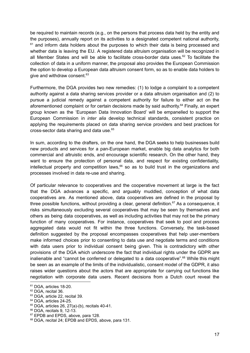be required to maintain records (e.g., on the persons that process data held by the entity and the purposes), annually report on its activities to a designated competent national authority,  $61$  and inform data holders about the purposes to which their data is being processed and whether data is leaving the EU. A registered data altruism organisation will be recognized in all Member States and will be able to facilitate cross-border data uses.<sup>62</sup> To facilitate the collection of data in a uniform manner, the proposal also provides the European Commission the option to develop a European data altruism consent form, so as to enable data holders to give and withdraw consent.<sup>63</sup>

Furthermore, the DGA provides two new remedies: (1) to lodge a complaint to a competent authority against a data sharing services provider or a data altruism organisation and (2) to pursue a judicial remedy against a competent authority for failure to either act on the aforementioned complaint or for certain decisions made by said authority.<sup>64</sup> Finally, an expert group known as the 'European Data Innovation Board' will be empanelled to support the European Commission in *inter alia* develop technical standards, consistent practice on applying the requirements placed on data sharing service providers and best practices for cross-sector data sharing and data use. 65

In sum, according to the drafters, on the one hand, the DGA seeks to help businesses build new products and services for a pan-European market, enable big data analytics for both commercial and altruistic ends, and encourage scientific research. On the other hand, they want to ensure the protection of personal data, and respect for existing confidentiality, intellectual property and competition laws, <sup>66</sup> so as to build trust in the organizations and processes involved in data re-use and sharing.

Of particular relevance to cooperatives and the cooperative movement at large is the fact that the DGA advances a specific, and arguably muddled, conception of what data cooperatives are. As mentioned above, data cooperatives are defined in the proposal by three possible functions, without providing a clear, general definition.<sup>67</sup> As a consequence, it risks simultaneously excluding several cooperatives that may be seen by themselves and others as being data cooperatives, as well as including activities that may not be the primary function of many cooperatives. For instance, cooperatives that seek to pool and process aggregated data would not fit within the three functions. Conversely, the task-based definition suggested by the proposal encompasses cooperatives that help user-members make informed choices prior to consenting to data use and negotiate terms and conditions with data users prior to individual consent being given. This is contradictory with other provisions of the DGA which underscore the fact that individual rights under the GDPR are inalienable and "cannot be conferred or delegated to a data cooperative".<sup>68</sup> While this might be seen as an example of the limits of the individualistic, consent model of the GDPR, it also raises wider questions about the actors that are appropriate for carrying out functions like negotiation with corporate data users. Recent decisions from a Dutch court reveal the

<sup>&</sup>lt;sup>61</sup> DGA, articles 18-20.

<sup>62</sup> DGA, recital 36.

<sup>&</sup>lt;sup>63</sup> DGA, article 22, recital 39.

<sup>&</sup>lt;sup>64</sup> DGA, articles 24-25.

 $65$  DGA, articles 26, 27(a)-(b), recitals 40-41.

<sup>66</sup> DGA, recitals 9, 12-13.

<sup>&</sup>lt;sup>67</sup> EPDB and EPDS, above, para 128.

<sup>&</sup>lt;sup>68</sup> DGA, recital 24; EPDB and EPDS, above, para 131.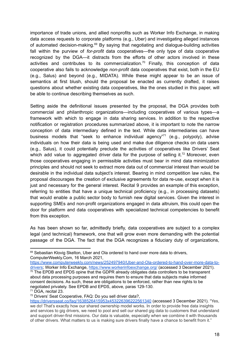importance of trade unions, and allied nonprofits such as Worker Info Exchange, in making data access requests to corporate platforms (e.g., Uber) and investigating alleged instances of automated decision-making.<sup>69</sup> By saying that negotiating and dialogue-building activities fall within the purview of *for-profit* data cooperatives—the only type of data cooperative recognized by the DGA—it distracts from the efforts of other actors involved in these activities and contributes to its commercialization.<sup>70</sup> Finally, this conception of data cooperative also fails to acknowledge *non-profit* data cooperatives that exist, both in the EU (e.g., Salus) and beyond (e.g., MIDATA). While these might appear to be an issue of semantics at first blush, should the proposal be enacted as currently drafted, it raises questions about whether existing data cooperatives, like the ones studied in this paper, will be able to continue describing themselves as such.

Setting aside the definitional issues presented by the proposal, the DGA provides both commercial and philanthropic organizations—including cooperatives of various types—a framework with which to engage in data sharing services. In addition to the respective notification or registration procedures summarized above, it is important to note the narrow conception of data intermediary defined in the text. While data intermediaries can have business models that "seek to enhance individual agency"<sup>71</sup> (e.g., polypoly), advise individuals on how their data is being used and make due diligence checks on data users (e.g., Salus), it could potentially preclude the activities of cooperatives like Drivers' Seat which add value to aggregated driver data for the purpose of selling it.<sup>72</sup> Moreover, even those cooperatives engaging in permissible activities must bear in mind data minimization principles and should not seek to extract more data out of commercial interest than would be desirable in the individual data subject's interest. Bearing in mind competition law rules, the proposal discourages the creation of exclusive agreements for data re-use, except when it is just and necessary for the general interest. Recital 9 provides an example of this exception, referring to entities that have a unique technical proficiency (e.g., in processing datasets) that would enable a public sector body to furnish new digital services. Given the interest in supporting SMEs and non-profit organizations engaged in data altruism, this could open the door for platform and data cooperatives with specialized technical competencies to benefit from this exception.

As has been shown so far, admittedly briefly, data cooperatives are subject to a complex legal (and technical) framework, one that will grow even more demanding with the potential passage of the DGA. The fact that the DGA recognizes a fiduciary duty of organizations,

<sup>69</sup> Sebastian Klovig Skelton, Uber and Ola ordered to hand over more data to drivers, ComputerWeekly.Com, 16 March 2021,

<sup>70</sup> The EPDB and EPDS opine that the GDPR already obligates data controllers to be transparent about data processing purposes and requires them to ensure that data subjects make informed consent decisions. As such, these are obligations to be enforced, rather than new rights to be negotiated privately. See EPDB and EPDS, above, paras 129-130. [https://www.computerweekly.com/news/252497940/Uber-and-Ola-ordered-to-hand-over-more-data-to](https://www.computerweekly.com/news/252497940/Uber-and-Ola-ordered-to-hand-over-more-data-to-drivers)[drivers;](https://www.computerweekly.com/news/252497940/Uber-and-Ola-ordered-to-hand-over-more-data-to-drivers) Worker Info Exchange, <https://www.workerinfoexchange.org/> (accessed 3 December 2021).

<sup>71</sup> DGA, recital 23.

<sup>72</sup> Drivers' Seat Cooperative, FAQ: Do you sell driver data?,

<https://driversseat.co/faq/1638526415953x453226396222561340> (accessed 3 December 2021). "Yes, we do! That's exactly how our shared ownership model works. In order to provide free data insights and services to gig drivers, we need to pool and sell our shared gig data to customers that understand and support driver-first missions. Our data is valuable, especially when we combine it with thousands of other drivers. What matters to us is making sure drivers finally have a chance to benefit from it."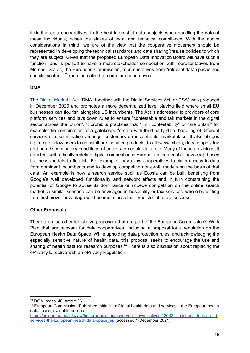including data cooperatives, to the best interest of data subjects when handling the data of these individuals, raises the stakes of legal and technical compliance. With the above considerations in mind, we are of the view that the cooperative movement should be represented in developing the technical standards and data sharing/(re)use policies to which they are subject. Given that the proposed European Data Innovation Board will have such a function, and is poised to have a multi-stakeholder composition with representatives from Member States, the European Commission, representatives from "relevant data spaces and specific sectors",<sup>73</sup> room can also be made for cooperatives.

#### **DMA**

The Digital [Markets](https://eur-lex.europa.eu/legal-content/en/TXT/?uri=COM%3A2020%3A842%3AFIN) Act (DMA; together with the Digital Services Act, or DSA) was proposed in December 2020 and promotes a more decentralized level playing field where small EU businesses can flourish alongside US incumbents. The Act is addressed to providers of core platform services and lays down rules to ensure "contestable and fair markets in the digital sector across the Union". It prohibits practices that "limit contestability" or "are unfair," for example the combination of a gatekeeper's data with third party data, bundling of different services or discrimination amongst customers on incumbents' marketplace. It also obliges big tech to allow users to uninstall pre-installed products, to allow switching, duty to apply fair and non-discriminatory conditions of access to certain data, etc. Many of these provisions, if enacted, will radically redefine digital competition in Europe and can enable new coop-based business models to flourish. For example, they allow cooperatives to claim access to data from dominant incumbents and to develop competing non-profit models on the basis of that data. An example is how a search service such as Ecosia can be built benefiting from Google's well developed functionality and network effects and in turn constraining the potential of Google to abuse its dominance or impede competition on the online search market. A similar scenario can be envisaged in hospitality or taxi services, where benefiting from first mover advantage will become a less clear predictor of future success.

#### **Other Proposals**

There are also other legislative proposals that are part of the European Commission's Work Plan that are relevant for data cooperatives, including a proposal for a regulation on the European Health Data Space. While upholding data protection rules, and acknowledging the especially sensitive nature of health data, this proposal seeks to encourage the use and sharing of health data for research purposes.<sup>74</sup> There is also discussion about replacing the ePrivacy Directive with an ePrivacy Regulation.

<sup>73</sup> DGA, recital 40, article 26.

<sup>74</sup> European Commission, Published Initiatives: Digital health data and services – the European health data space, available online at:

[https://ec.europa.eu/info/law/better-regulation/have-your-say/initiatives/12663-Digital-health-data-and](https://ec.europa.eu/info/law/better-regulation/have-your-say/initiatives/12663-Digital-health-data-and-services-the-European-health-data-space_en)[services-the-European-health-data-space\\_en](https://ec.europa.eu/info/law/better-regulation/have-your-say/initiatives/12663-Digital-health-data-and-services-the-European-health-data-space_en) (accessed 1 December 2021).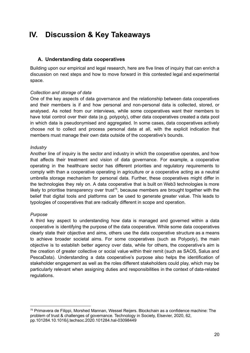# <span id="page-20-0"></span>**IV. Discussion & Key Takeaways**

#### <span id="page-20-1"></span>**A. Understanding data cooperatives**

Building upon our empirical and legal research, here are five lines of inquiry that can enrich a discussion on next steps and how to move forward in this contested legal and experimental space.

#### *Collection and storage of data*

One of the key aspects of data governance and the relationship between data cooperatives and their members is if and how personal and non-personal data is collected, stored, or analysed. As noted from our interviews, while some cooperatives want their members to have total control over their data (e.g. polypoly), other data cooperatives created a data pool in which data is pseudonymised and aggregated. In some cases, data cooperatives actively choose not to collect and process personal data at all, with the explicit indication that members must manage their own data outside of the cooperative's bounds.

#### *Industry*

Another line of inquiry is the sector and industry in which the cooperative operates, and how that affects their treatment and vision of data governance. For example, a cooperative operating in the healthcare sector has different priorities and regulatory requirements to comply with than a cooperative operating in agriculture or a cooperative acting as a neutral umbrella storage mechanism for personal data. Further, these cooperatives might differ in the technologies they rely on. A data cooperative that is built on Web3 technologies is more likely to prioritise transparency over trust<sup>75</sup>, because members are brought together with the belief that digital tools and platforms can be used to generate greater value. This leads to typologies of cooperatives that are radically different in scope and operation.

#### *Purpose*

A third key aspect to understanding how data is managed and governed within a data cooperative is identifying the purpose of the data cooperative. While some data cooperatives clearly state their objective and aims, others use the data cooperative structure as a means to achieve broader societal aims. For some cooperatives (such as Polypoly), the main objective is to establish better agency over data, while for others, the cooperative's aim is the creation of greater collective or social value within their remit (such as SAOS, Salus and PescaData). Understanding a data cooperative's purpose also helps the identification of stakeholder engagement as well as the roles different stakeholders could play, which may be particularly relevant when assigning duties and responsibilities in the context of data-related regulations.

<sup>75</sup> Primavera de Filippi, Morshed Mannan, Wessel Reijers. Blockchain as a confidence machine: The problem of trust & challenges of governance. Technology in Society, Elsevier, 2020, 62, pp.101284.10.1016/j.techsoc.2020.101284.hal-03098449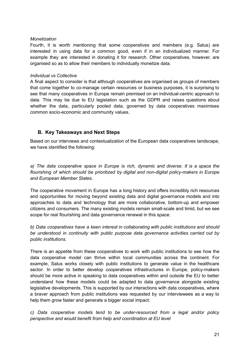#### *Monetization*

Fourth, it is worth mentioning that some cooperatives and members (e.g. Salus) are interested in using data for a common good, even if in an individualized manner. For example they are interested in donating it for research. Other cooperatives, however, are organised so as to allow their members to individually monetize data.

#### *Individual vs Collective*

A final aspect to consider is that although cooperatives are organised as groups of members that come together to co-manage certain resources or business purposes, it is surprising to see that many cooperatives in Europe remain premised on an individual-centric approach to data. This may be due to EU legislation such as the GDPR and raises questions about whether the data, particularly pooled data, governed by data cooperatives maximises common socio-economic and community values.

### <span id="page-21-0"></span>**B. Key Takeaways and Next Steps**

Based on our interviews and contextualization of the European data cooperatives landscape, we have identified the following:

*a) The data cooperative space in Europe is rich, dynamic and diverse. It is a space the flourishing of which should be prioritized by digital and non-digital policy-makers in Europe and European Member States.*

The cooperative movement in Europe has a long history and offers incredibly rich resources and opportunities for moving beyond existing data and digital governance models and into approaches to data and technology that are more collaborative, bottom-up and empower citizens and consumers. The many existing models remain small-scale and timid, but we see scope for real flourishing and data governance renewal in this space.

*b) Data cooperatives have a keen interest in collaborating with public institutions and should be understood in continuity with public purpose data governance activities carried out by public institutions.*

There is an appetite from these cooperatives to work with public institutions to see how the data cooperative model can thrive within local communities across the continent. For example, Salus works closely with public institutions to generate value in the healthcare sector. In order to better develop cooperatives infrastructures in Europe, policy-makers should be more active in speaking to data cooperatives within and outside the EU to better understand how these models could be adapted to data governance alongside existing legislative developments. This is supported by our interactions with data cooperatives, where a braver approach from public institutions was requested by our interviewees as a way to help them grow faster and generate a bigger social impact.

*c) Data cooperative models tend to be under-resourced from a legal and/or policy perspective and would benefit from help and coordination at EU level*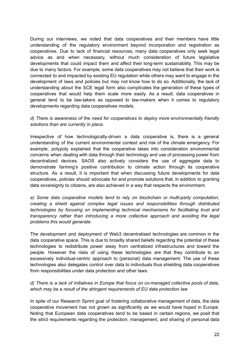During our interviews, we noted that data cooperatives and their members have little understanding of the regulatory environment beyond incorporation and registration as cooperatives. Due to lack of financial resources, many data cooperatives only seek legal advice as and when necessary, without much consideration of future legislative developments that could impact them and affect their long-term sustainability. This may be due to many factors. For example, some data cooperatives may not believe that their work is connected to and impacted by existing EU regulation while others may want to engage in the development of laws and policies but may not know how to do so. Additionally, the lack of understanding about the SCE legal form also complicates the generation of these types of cooperatives that would help them scale more easily. As a result, data cooperatives in general tend to be law-takers as opposed to law-makers when it comes to regulatory developments regarding data cooperatives models.

#### *d) There is awareness of the need for cooperatives to deploy more environmentally friendly solutions than are currently in place.*

Irrespective of how technologically-driven a data cooperative is, there is a general understanding of the current environmental context and risk of the climate emergency. For example, polypoly explained that the cooperative takes into consideration environmental concerns when dealing with data through their technology and use of processing power from decentralized devices. SAOS also actively considers the use of aggregate data to demonstrate farming's positive contribution to climate action through its cooperative structure. As a result, it is important that when discussing future developments for data cooperatives, policies should advocate for and promote solutions that, in addition to granting data sovereignty to citizens, are also achieved in a way that respects the environment.

*e) Some data cooperative models tend to rely on blockchain or multi-party computation, creating a shield against complex legal issues and responsibilities through distributed technologies by focusing on implementing technical mechanisms for facilitating trust and transparency rather than introducing a more collective approach and avoiding the legal problems this would generate.*

The development and deployment of Web3 decentralised technologies are common in the data cooperative space. This is due to broadly shared beliefs regarding the potential of these technologies to redistribute power away from centralized infrastructures and toward the people. However the risks of using these technologies are that they contribute to an excessively individual-centric approach to (personal) data management. The use of these technologies also delegates control over data to individuals thus shielding data cooperatives from responsibilities under data protection and other laws.

#### *d) There is a lack of initiatives in Europe that focus on co-managed collective pools of data, which may be a result of the stringent requirements of EU data protection law*

In spite of our Research Sprint goal of fostering collaborative management of data, the data cooperative movement has not grown as significantly as we would have hoped in Europe. Noting that European data cooperatives tend to be based in certain regions, we posit that the strict requirements regarding the protection, management, and sharing of personal data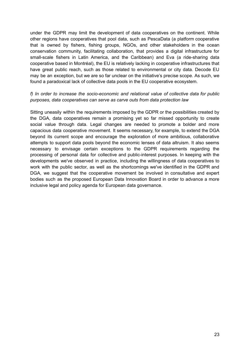under the GDPR may limit the development of data cooperatives on the continent. While other regions have cooperatives that pool data, such as PescaData (a platform cooperative that is owned by fishers, fishing groups, NGOs, and other stakeholders in the ocean conservation community, facilitating collaboration, that provides a digital infrastructure for small-scale fishers in Latin America, and the Caribbean) and Eva (a ride-sharing data cooperative based in Montréal), the EU is relatively lacking in cooperative infrastructures that have great public reach, such as those related to environmental or city data. Decode EU may be an exception, but we are so far unclear on the initiative's precise scope. As such, we found a paradoxical lack of collective data pools in the EU cooperative ecosystem.

#### *f) In order to increase the socio-economic and relational value of collective data for public purposes, data cooperatives can serve as carve outs from data protection law*

Sitting uneasily within the requirements imposed by the GDPR or the possibilities created by the DGA, data cooperatives remain a promising yet so far missed opportunity to create social value through data. Legal changes are needed to promote a bolder and more capacious data cooperative movement. It seems necessary, for example, to extend the DGA beyond its current scope and encourage the exploration of more ambitious, collaborative attempts to support data pools beyond the economic lenses of data altruism. It also seems necessary to envisage certain exceptions to the GDPR requirements regarding the processing of personal data for collective and public-interest purposes. In keeping with the developments we've observed in practice, including the willingness of data cooperatives to work with the public sector, as well as the shortcomings we've identified in the GDPR and DGA, we suggest that the cooperative movement be involved in consultative and expert bodies such as the proposed European Data Innovation Board in order to advance a more inclusive legal and policy agenda for European data governance.